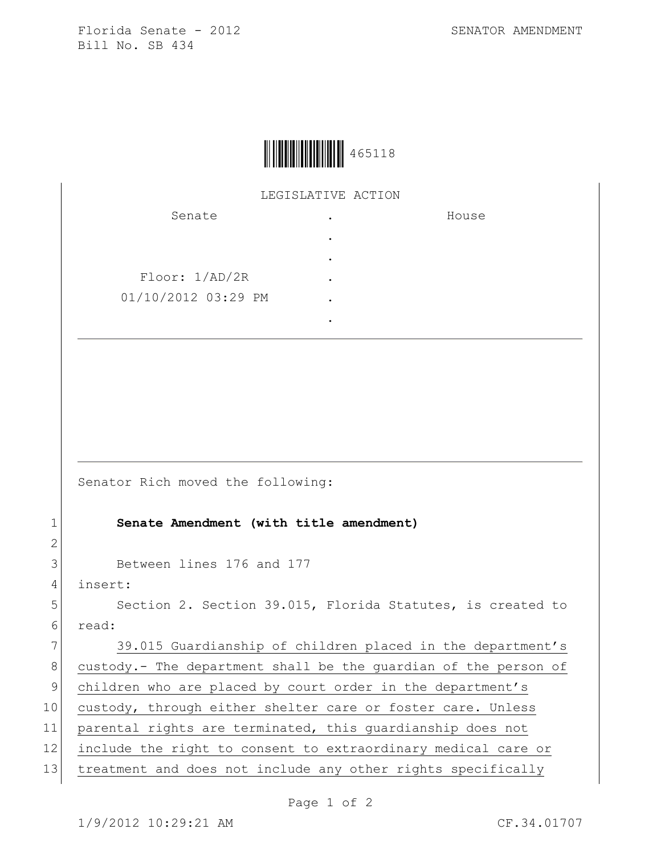Florida Senate - 2012 SENATOR AMENDMENT Bill No. SB 434



LEGISLATIVE ACTION

| Senate              | ٠ | House |
|---------------------|---|-------|
|                     | ٠ |       |
|                     | ٠ |       |
| Floor: 1/AD/2R      |   |       |
| 01/10/2012 03:29 PM |   |       |
|                     |   |       |

Senator Rich moved the following:

1 **Senate Amendment (with title amendment)**

3 Between lines 176 and 177

4 insert:

2

5 Section 2. Section 39.015, Florida Statutes, is created to 6 read:

7 39.015 Guardianship of children placed in the department's 8 custody.- The department shall be the quardian of the person of 9 children who are placed by court order in the department's 10 custody, through either shelter care or foster care. Unless 11 parental rights are terminated, this guardianship does not 12 include the right to consent to extraordinary medical care or 13 treatment and does not include any other rights specifically